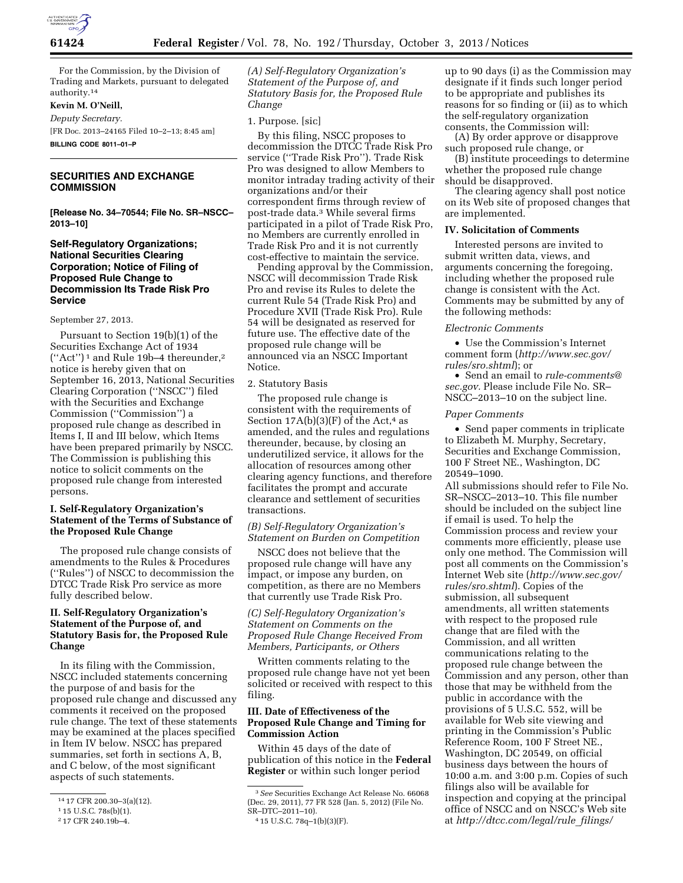

For the Commission, by the Division of Trading and Markets, pursuant to delegated authority.14

# **Kevin M. O'Neill,**

*Deputy Secretary.* 

[FR Doc. 2013–24165 Filed 10–2–13; 8:45 am]

**BILLING CODE 8011–01–P** 

### **SECURITIES AND EXCHANGE COMMISSION**

**[Release No. 34–70544; File No. SR–NSCC– 2013–10]** 

## **Self-Regulatory Organizations; National Securities Clearing Corporation; Notice of Filing of Proposed Rule Change to Decommission Its Trade Risk Pro Service**

#### September 27, 2013.

Pursuant to Section 19(b)(1) of the Securities Exchange Act of 1934  $("Act")^1$  and Rule 19b–4 thereunder,<sup>2</sup> notice is hereby given that on September 16, 2013, National Securities Clearing Corporation (''NSCC'') filed with the Securities and Exchange Commission (''Commission'') a proposed rule change as described in Items I, II and III below, which Items have been prepared primarily by NSCC. The Commission is publishing this notice to solicit comments on the proposed rule change from interested persons.

# **I. Self-Regulatory Organization's Statement of the Terms of Substance of the Proposed Rule Change**

The proposed rule change consists of amendments to the Rules & Procedures (''Rules'') of NSCC to decommission the DTCC Trade Risk Pro service as more fully described below.

# **II. Self-Regulatory Organization's Statement of the Purpose of, and Statutory Basis for, the Proposed Rule Change**

In its filing with the Commission, NSCC included statements concerning the purpose of and basis for the proposed rule change and discussed any comments it received on the proposed rule change. The text of these statements may be examined at the places specified in Item IV below. NSCC has prepared summaries, set forth in sections A, B, and C below, of the most significant aspects of such statements.

*(A) Self-Regulatory Organization's Statement of the Purpose of, and Statutory Basis for, the Proposed Rule Change* 

#### 1. Purpose. [sic]

By this filing, NSCC proposes to decommission the DTCC Trade Risk Pro service (''Trade Risk Pro''). Trade Risk Pro was designed to allow Members to monitor intraday trading activity of their organizations and/or their correspondent firms through review of post-trade data.3 While several firms participated in a pilot of Trade Risk Pro, no Members are currently enrolled in Trade Risk Pro and it is not currently cost-effective to maintain the service.

Pending approval by the Commission, NSCC will decommission Trade Risk Pro and revise its Rules to delete the current Rule 54 (Trade Risk Pro) and Procedure XVII (Trade Risk Pro). Rule 54 will be designated as reserved for future use. The effective date of the proposed rule change will be announced via an NSCC Important Notice.

### 2. Statutory Basis

The proposed rule change is consistent with the requirements of Section  $17A(b)(3)(F)$  of the Act,<sup>4</sup> as amended, and the rules and regulations thereunder, because, by closing an underutilized service, it allows for the allocation of resources among other clearing agency functions, and therefore facilitates the prompt and accurate clearance and settlement of securities transactions.

### *(B) Self-Regulatory Organization's Statement on Burden on Competition*

NSCC does not believe that the proposed rule change will have any impact, or impose any burden, on competition, as there are no Members that currently use Trade Risk Pro.

### *(C) Self-Regulatory Organization's Statement on Comments on the Proposed Rule Change Received From Members, Participants, or Others*

Written comments relating to the proposed rule change have not yet been solicited or received with respect to this filing.

### **III. Date of Effectiveness of the Proposed Rule Change and Timing for Commission Action**

Within 45 days of the date of publication of this notice in the **Federal Register** or within such longer period

up to 90 days (i) as the Commission may designate if it finds such longer period to be appropriate and publishes its reasons for so finding or (ii) as to which the self-regulatory organization consents, the Commission will:

(A) By order approve or disapprove such proposed rule change, or

(B) institute proceedings to determine whether the proposed rule change should be disapproved.

The clearing agency shall post notice on its Web site of proposed changes that are implemented.

### **IV. Solicitation of Comments**

Interested persons are invited to submit written data, views, and arguments concerning the foregoing, including whether the proposed rule change is consistent with the Act. Comments may be submitted by any of the following methods:

#### *Electronic Comments*

• Use the Commission's Internet comment form (*[http://www.sec.gov/](http://www.sec.gov/rules/sro.shtml) [rules/sro.shtml](http://www.sec.gov/rules/sro.shtml)*); or

• Send an email to *[rule-comments@](mailto:rule-comments@sec.gov) [sec.gov.](mailto:rule-comments@sec.gov)* Please include File No. SR– NSCC–2013–10 on the subject line.

#### *Paper Comments*

• Send paper comments in triplicate to Elizabeth M. Murphy, Secretary, Securities and Exchange Commission, 100 F Street NE., Washington, DC 20549–1090.

All submissions should refer to File No. SR–NSCC–2013–10. This file number should be included on the subject line if email is used. To help the Commission process and review your comments more efficiently, please use only one method. The Commission will post all comments on the Commission's Internet Web site (*[http://www.sec.gov/](http://www.sec.gov/rules/sro.shtml) [rules/sro.shtml](http://www.sec.gov/rules/sro.shtml)*). Copies of the submission, all subsequent amendments, all written statements with respect to the proposed rule change that are filed with the Commission, and all written communications relating to the proposed rule change between the Commission and any person, other than those that may be withheld from the public in accordance with the provisions of 5 U.S.C. 552, will be available for Web site viewing and printing in the Commission's Public Reference Room, 100 F Street NE., Washington, DC 20549, on official business days between the hours of 10:00 a.m. and 3:00 p.m. Copies of such filings also will be available for inspection and copying at the principal office of NSCC and on NSCC's Web site at *[http://dtcc.com/legal/rule](http://dtcc.com/legal/rule_filings/nscc/2013.php)*\_*filings/* 

<sup>14</sup> 17 CFR 200.30–3(a)(12).

<sup>1</sup> 15 U.S.C. 78s(b)(1).

<sup>2</sup> 17 CFR 240.19b–4.

<sup>3</sup>*See* Securities Exchange Act Release No. 66068 (Dec. 29, 2011), 77 FR 528 (Jan. 5, 2012) (File No. SR–DTC–2011–10).

<sup>4</sup> 15 U.S.C. 78q–1(b)(3)(F).